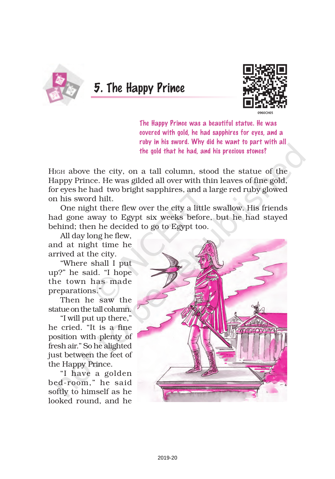

5. The Happy Prince



The Happy Prince was a beautiful statue. He was covered with gold, he had sapphires for eyes, and a ruby in his sword. Why did he want to part with all the gold that he had, and his precious stones?

HIGH above the city, on a tall column, stood the statue of the Happy Prince. He was gilded all over with thin leaves of fine gold, for eyes he had two bright sapphires, and a large red ruby glowed on his sword hilt.

One night there flew over the city a little swallow. His friends had gone away to Egypt six weeks before, but he had stayed behind; then he decided to go to Egypt too.

All day long he flew, and at night time he arrived at the city.

"Where shall I put up?" he said. "I hope the town has made preparations."

Then he saw the statue on the tall column.

"I will put up there," he cried. "It is a fine position with plenty of fresh air." So he alighted just between the feet of the Happy Prince.

"I have a golden bed-room," he said softly to himself as he looked round, and he

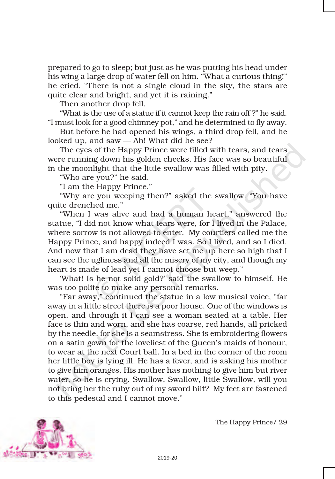prepared to go to sleep; but just as he was putting his head under his wing a large drop of water fell on him. "What a curious thing!" he cried. "There is not a single cloud in the sky, the stars are quite clear and bright, and yet it is raining."

Then another drop fell.

"What is the use of a statue if it cannot keep the rain off ?" he said. "I must look for a good chimney pot," and he determined to fly away.

But before he had opened his wings, a third drop fell, and he looked up, and saw — Ah! What did he see?

The eyes of the Happy Prince were filled with tears, and tears were running down his golden cheeks. His face was so beautiful in the moonlight that the little swallow was filled with pity.

"Who are you?" he said.

"I am the Happy Prince."

"Why are you weeping then?" asked the swallow. "You have quite drenched me."

"When I was alive and had a human heart," answered the statue, "I did not know what tears were, for I lived in the Palace, where sorrow is not allowed to enter. My courtiers called me the Happy Prince, and happy indeed I was. So I lived, and so I died. And now that I am dead they have set me up here so high that I can see the ugliness and all the misery of my city, and though my heart is made of lead yet I cannot choose but weep."

'What! Is he not solid gold?' said the swallow to himself. He was too polite to make any personal remarks.

"Far away," continued the statue in a low musical voice, "far away in a little street there is a poor house. One of the windows is open, and through it I can see a woman seated at a table. Her face is thin and worn, and she has coarse, red hands, all pricked by the needle, for she is a seamstress. She is embroidering flowers on a satin gown for the loveliest of the Queen's maids of honour, to wear at the next Court ball. In a bed in the corner of the room her little boy is lying ill. He has a fever, and is asking his mother to give him oranges. His mother has nothing to give him but river water, so he is crying. Swallow, Swallow, little Swallow, will you not bring her the ruby out of my sword hilt? My feet are fastened to this pedestal and I cannot move."

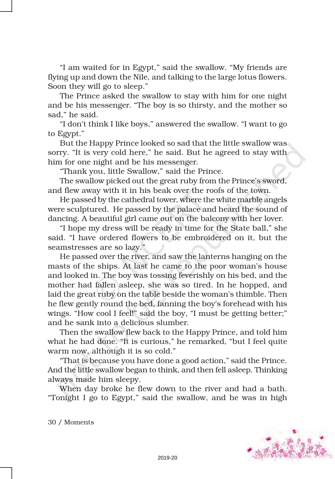"I am waited for in Egypt," said the swallow. "My friends are flying up and down the Nile, and talking to the large lotus flowers. Soon they will go to sleep."

The Prince asked the swallow to stay with him for one night and be his messenger. "The boy is so thirsty, and the mother so sad," he said.

"I don't think I like boys," answered the swallow. "I want to go to Egypt."

But the Happy Prince looked so sad that the little swallow was sorry. "It is very cold here," he said. But he agreed to stay with him for one night and be his messenger.

"Thank you, little Swallow," said the Prince.

The swallow picked out the great ruby from the Prince's sword, and flew away with it in his beak over the roofs of the town.

He passed by the cathedral tower, where the white marble angels were sculptured. He passed by the palace and heard the sound of dancing. A beautiful girl came out on the balcony with her lover.

"I hope my dress will be ready in time for the State ball," she said. "I have ordered flowers to be embroidered on it, but the seamstresses are so lazy."

He passed over the river, and saw the lanterns hanging on the masts of the ships. At last he came to the poor woman's house and looked in. The boy was tossing feverishly on his bed, and the mother had fallen asleep, she was so tired. In he hopped, and laid the great ruby on the table beside the woman's thimble. Then he flew gently round the bed, fanning the boy's forehead with his wings. "How cool I feel!" said the boy, "I must be getting better;" and he sank into a delicious slumber.

Then the swallow flew back to the Happy Prince, and told him what he had done. "It is curious," he remarked, "but I feel quite warm now, although it is so cold."

"That is because you have done a good action," said the Prince. And the little swallow began to think, and then fell asleep. Thinking always made him sleepy.

When day broke he flew down to the river and had a bath. "Tonight I go to Egypt," said the swallow, and he was in high



30 / Moments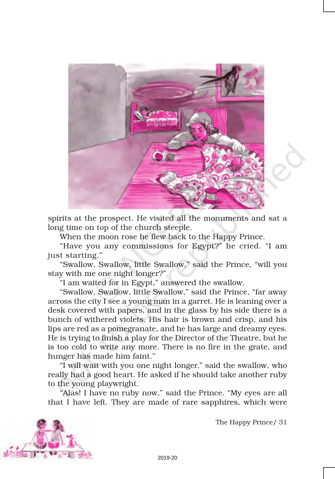

spirits at the prospect. He visited all the monuments and sat a long time on top of the church steeple.

When the moon rose he flew back to the Happy Prince.

"Have you any commissions for Egypt?" he cried. "I am just starting."

"Swallow, Swallow, little Swallow," said the Prince, "will you stay with me one night longer?"

"I am waited for in Egypt," answered the swallow.

"Swallow, Swallow, little Swallow," said the Prince, "far away across the city I see a young man in a garret. He is leaning over a desk covered with papers, and in the glass by his side there is a bunch of withered violets. His hair is brown and crisp, and his lips are red as a pomegranate, and he has large and dreamy eyes. He is trying to finish a play for the Director of the Theatre, but he is too cold to write any more. There is no fire in the grate, and hunger has made him faint."

"I will wait with you one night longer," said the swallow, who really had a good heart. He asked if he should take another ruby to the young playwright.

"Alas! I have no ruby now," said the Prince. "My eyes are all that I have left. They are made of rare sapphires, which were

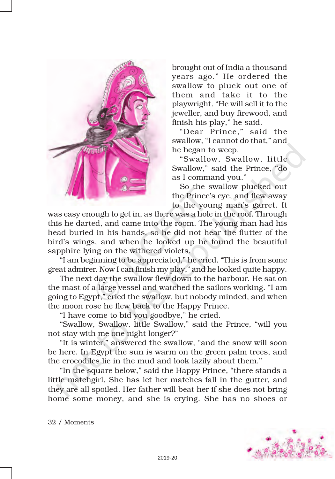

brought out of India a thousand years ago." He ordered the swallow to pluck out one of them and take it to the playwright. "He will sell it to the jeweller, and buy firewood, and finish his play," he said.

"Dear Prince," said the swallow, "I cannot do that," and he began to weep.

"Swallow, Swallow, little Swallow," said the Prince, "do as I command you."

So the swallow plucked out the Prince's eye, and flew away to the young man's garret. It

was easy enough to get in, as there was a hole in the roof. Through this he darted, and came into the room. The young man had his head buried in his hands, so he did not hear the flutter of the bird's wings, and when he looked up he found the beautiful sapphire lying on the withered violets.

"I am beginning to be appreciated," he cried. "This is from some great admirer. Now I can finish my play," and he looked quite happy.

The next day the swallow flew down to the harbour. He sat on the mast of a large vessel and watched the sailors working. "I am going to Egypt," cried the swallow, but nobody minded, and when the moon rose he flew back to the Happy Prince.

"I have come to bid you goodbye," he cried.

"Swallow, Swallow, little Swallow," said the Prince, "will you not stay with me one night longer?"

"It is winter," answered the swallow, "and the snow will soon be here. In Egypt the sun is warm on the green palm trees, and the crocodiles lie in the mud and look lazily about them."

"In the square below," said the Happy Prince, "there stands a little matchgirl. She has let her matches fall in the gutter, and they are all spoiled. Her father will beat her if she does not bring home some money, and she is crying. She has no shoes or

32 / Moments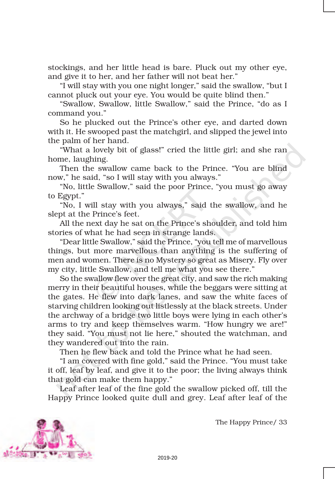stockings, and her little head is bare. Pluck out my other eye, and give it to her, and her father will not beat her."

"I will stay with you one night longer," said the swallow, "but I cannot pluck out your eye. You would be quite blind then."

"Swallow, Swallow, little Swallow," said the Prince, "do as I command you."

So he plucked out the Prince's other eye, and darted down with it. He swooped past the matchgirl, and slipped the jewel into the palm of her hand.

"What a lovely bit of glass!" cried the little girl; and she ran home, laughing.

Then the swallow came back to the Prince. "You are blind now," he said, "so I will stay with you always."

"No, little Swallow," said the poor Prince, "you must go away to Egypt."

"No, I will stay with you always," said the swallow, and he slept at the Prince's feet.

All the next day he sat on the Prince's shoulder, and told him stories of what he had seen in strange lands.

"Dear little Swallow," said the Prince, "you tell me of marvellous things, but more marvellous than anything is the suffering of men and women. There is no Mystery so great as Misery. Fly over my city, little Swallow, and tell me what you see there."

So the swallow flew over the great city, and saw the rich making merry in their beautiful houses, while the beggars were sitting at the gates. He flew into dark lanes, and saw the white faces of starving children looking out listlessly at the black streets. Under the archway of a bridge two little boys were lying in each other's arms to try and keep themselves warm. "How hungry we are!" they said. "You must not lie here," shouted the watchman, and they wandered out into the rain.

Then he flew back and told the Prince what he had seen.

"I am covered with fine gold," said the Prince. "You must take it off, leaf by leaf, and give it to the poor; the living always think that gold can make them happy."

Leaf after leaf of the fine gold the swallow picked off, till the Happy Prince looked quite dull and grey. Leaf after leaf of the

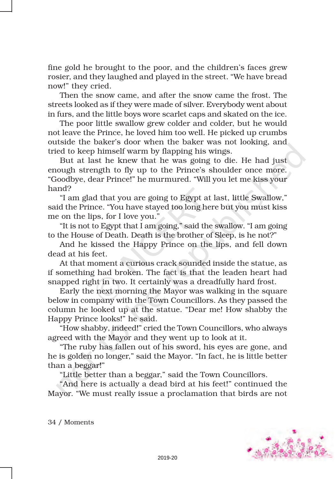fine gold he brought to the poor, and the children's faces grew rosier, and they laughed and played in the street. "We have bread now!" they cried.

Then the snow came, and after the snow came the frost. The streets looked as if they were made of silver. Everybody went about in furs, and the little boys wore scarlet caps and skated on the ice.

The poor little swallow grew colder and colder, but he would not leave the Prince, he loved him too well. He picked up crumbs outside the baker's door when the baker was not looking, and tried to keep himself warm by flapping his wings.

But at last he knew that he was going to die. He had just enough strength to fly up to the Prince's shoulder once more. "Goodbye, dear Prince!" he murmured. "Will you let me kiss your hand?

"I am glad that you are going to Egypt at last, little Swallow," said the Prince. "You have stayed too long here but you must kiss me on the lips, for I love you."

"It is not to Egypt that I am going," said the swallow. "I am going to the House of Death. Death is the brother of Sleep, is he not?"

And he kissed the Happy Prince on the lips, and fell down dead at his feet.

At that moment a curious crack sounded inside the statue, as if something had broken. The fact is that the leaden heart had snapped right in two. It certainly was a dreadfully hard frost.

Early the next morning the Mayor was walking in the square below in company with the Town Councillors. As they passed the column he looked up at the statue. "Dear me! How shabby the Happy Prince looks!" he said.

"How shabby, indeed!" cried the Town Councillors, who always agreed with the Mayor and they went up to look at it.

"The ruby has fallen out of his sword, his eyes are gone, and he is golden no longer," said the Mayor. "In fact, he is little better than a beggar!"

"Little better than a beggar," said the Town Councillors.

"And here is actually a dead bird at his feet!" continued the Mayor. "We must really issue a proclamation that birds are not



34 / Moments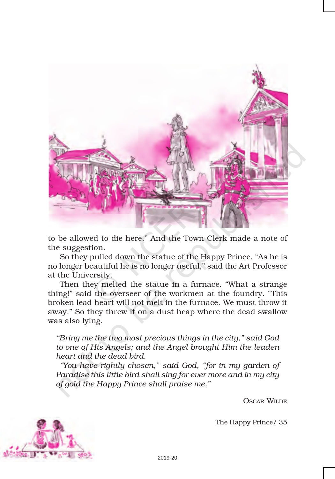

to be allowed to die here." And the Town Clerk made a note of the suggestion.

So they pulled down the statue of the Happy Prince. "As he is no longer beautiful he is no longer useful," said the Art Professor at the University.

Then they melted the statue in a furnace. "What a strange thing!" said the overseer of the workmen at the foundry. "This broken lead heart will not melt in the furnace. We must throw it away." So they threw it on a dust heap where the dead swallow was also lying.

*"Bring me the two most precious things in the city," said God to one of His Angels; and the Angel brought Him the leaden heart and the dead bird.*

*"You have rightly chosen," said God, "for in my garden of Paradise this little bird shall sing for ever more and in my city of gold the Happy Prince shall praise me."*

OSCAR WILDE